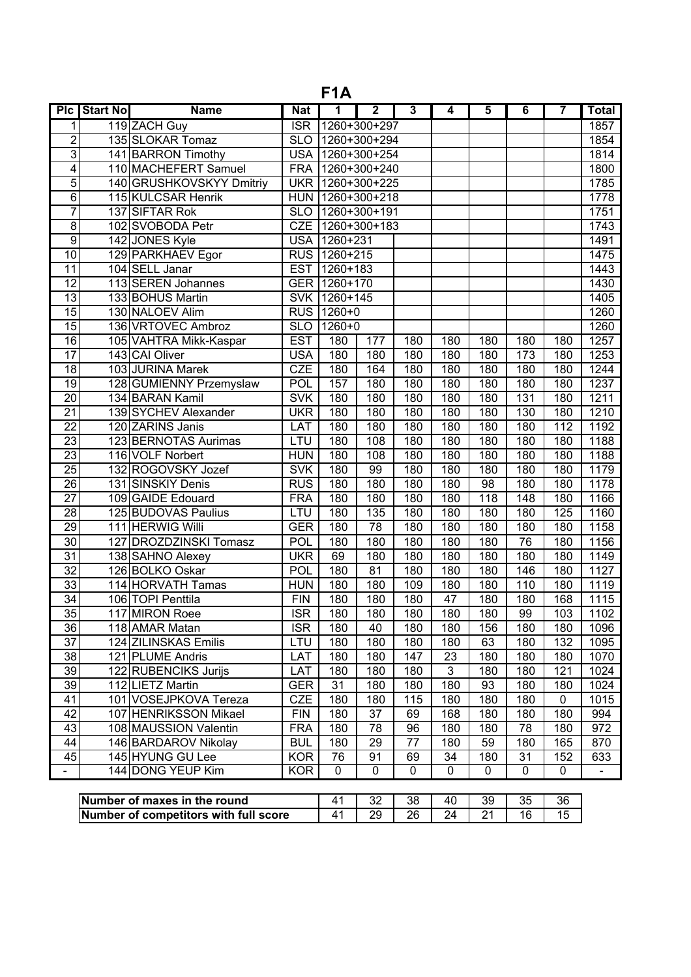| F <sub>1</sub> A        |                 |                              |            |                  |                         |     |     |                         |     |                |                          |
|-------------------------|-----------------|------------------------------|------------|------------------|-------------------------|-----|-----|-------------------------|-----|----------------|--------------------------|
| P <sub>IC</sub>         | <b>Start No</b> | <b>Name</b>                  | <b>Nat</b> | 1                | $\overline{\mathbf{2}}$ | 3   | 4   | $\overline{\mathbf{5}}$ | 6   | $\overline{7}$ | <b>Total</b>             |
| 1                       |                 | 119 ZACH Guy                 | <b>ISR</b> |                  | 1260+300+297            |     |     |                         |     |                | 1857                     |
| $\overline{2}$          |                 | 135 SLOKAR Tomaz             | <b>SLO</b> |                  | 1260+300+294            |     |     |                         |     |                | 1854                     |
| $\overline{3}$          |                 | 141 BARRON Timothy           | USA        |                  | 1260+300+254            |     |     |                         |     |                | 1814                     |
| $\overline{\mathbf{4}}$ |                 | 110 MACHEFERT Samuel         | <b>FRA</b> |                  | 1260+300+240            |     |     |                         |     |                | 1800                     |
| $\overline{5}$          |                 | 140 GRUSHKOVSKYY Dmitriy     | UKR        |                  | 1260+300+225            |     |     |                         |     |                | 1785                     |
| $\overline{6}$          |                 | 115 KULCSAR Henrik           |            | HUN 1260+300+218 |                         |     |     |                         |     |                | 1778                     |
| 7                       |                 | 137 SIFTAR Rok               |            | SLO 1260+300+191 |                         |     |     |                         |     |                | 1751                     |
| $\overline{8}$          |                 | 102 SVOBODA Petr             | CZE        |                  | 1260+300+183            |     |     |                         |     |                | 1743                     |
| $\overline{9}$          |                 | 142 JONES Kyle               | <b>USA</b> | $1260 + 231$     |                         |     |     |                         |     |                | 1491                     |
| $\overline{10}$         |                 | 129 PARKHAEV Egor            | <b>RUS</b> | 1260+215         |                         |     |     |                         |     |                | 1475                     |
| $\overline{11}$         |                 | 104 SELL Janar               | <b>EST</b> | 1260+183         |                         |     |     |                         |     |                | 1443                     |
| $\overline{12}$         |                 | 113 SEREN Johannes           | <b>GER</b> | $1260+170$       |                         |     |     |                         |     |                | 1430                     |
| $\overline{13}$         |                 | 133 BOHUS Martin             | <b>SVK</b> | 1260+145         |                         |     |     |                         |     |                | 1405                     |
| $\overline{15}$         |                 | 130 NALOEV Alim              | <b>RUS</b> | 1260+0           |                         |     |     |                         |     |                | 1260                     |
| $\overline{15}$         |                 | 136 VRTOVEC Ambroz           | <b>SLO</b> | $1260+0$         |                         |     |     |                         |     |                | 1260                     |
| 16                      |                 | 105 VAHTRA Mikk-Kaspar       | <b>EST</b> | 180              | 177                     | 180 | 180 | 180                     | 180 | 180            | 1257                     |
| $\overline{17}$         |                 | 143 CAI Oliver               | <b>USA</b> | 180              | 180                     | 180 | 180 | 180                     | 173 | 180            | 1253                     |
| $\overline{18}$         |                 | 103 JURINA Marek             | CZE        | 180              | 164                     | 180 | 180 | 180                     | 180 | 180            | 1244                     |
| 19                      |                 | 128 GUMIENNY Przemyslaw      | POL        | 157              | 180                     | 180 | 180 | 180                     | 180 | 180            | 1237                     |
| $\overline{20}$         |                 | 134 BARAN Kamil              | <b>SVK</b> | 180              | 180                     | 180 | 180 | 180                     | 131 | 180            | 1211                     |
| $\overline{21}$         |                 | 139 SYCHEV Alexander         | <b>UKR</b> | 180              | 180                     | 180 | 180 | 180                     | 130 | 180            | 1210                     |
| $\overline{22}$         |                 | 120 ZARINS Janis             | LAT        | 180              | 180                     | 180 | 180 | 180                     | 180 | 112            | 1192                     |
| 23                      |                 | 123 BERNOTAS Aurimas         | LTU        | 180              | 108                     | 180 | 180 | 180                     | 180 | 180            | 1188                     |
| $\overline{23}$         |                 | 116 VOLF Norbert             | <b>HUN</b> | 180              | 108                     | 180 | 180 | 180                     | 180 | 180            | 1188                     |
| 25                      |                 | 132 ROGOVSKY Jozef           | <b>SVK</b> | 180              | 99                      | 180 | 180 | 180                     | 180 | 180            | 1179                     |
| 26                      |                 | 131 SINSKIY Denis            | <b>RUS</b> | 180              | 180                     | 180 | 180 | 98                      | 180 | 180            | 1178                     |
| 27                      |                 | 109 GAIDE Edouard            | <b>FRA</b> | 180              | 180                     | 180 | 180 | 118                     | 148 | 180            | 1166                     |
| $\overline{28}$         |                 | 125 BUDOVAS Paulius          | LTU        | 180              | 135                     | 180 | 180 | 180                     | 180 | 125            | 1160                     |
| $\overline{29}$         |                 | 111 HERWIG Willi             | <b>GER</b> | 180              | 78                      | 180 | 180 | 180                     | 180 | 180            | 1158                     |
| $\overline{30}$         |                 | 127 DROZDZINSKI Tomasz       | POL        | 180              | 180                     | 180 | 180 | 180                     | 76  | 180            | 1156                     |
| 31                      |                 | 138 SAHNO Alexey             | <b>UKR</b> | 69               | 180                     | 180 | 180 | 180                     | 180 | 180            | 1149                     |
| $\overline{32}$         |                 | 126 BOLKO Oskar              | <b>POL</b> | 180              | 81                      | 180 | 180 | 180                     | 146 | 180            | 1127                     |
| $\overline{33}$         |                 | 114 HORVATH Tamas            | <b>HUN</b> | 180              | 180                     | 109 | 180 | 180                     | 110 | 180            | 1119                     |
| 34                      |                 | 106 TOPI Penttila            | <b>FIN</b> | 180              | 180                     | 180 | 47  | 180                     | 180 | 168            | 1115                     |
| 35                      |                 | 117 MIRON Roee               | <b>ISR</b> | 180              | 180                     | 180 | 180 | 180                     | 99  | 103            | 1102                     |
| $\overline{36}$         |                 | 118 AMAR Matan               | <b>ISR</b> | 180              | 40                      | 180 | 180 | 156                     | 180 | 180            | 1096                     |
| 37                      |                 | 124 ZILINSKAS Emilis         | LTU        | 180              | 180                     | 180 | 180 | 63                      | 180 | 132            | 1095                     |
| 38                      |                 | 121 PLUME Andris             | <b>LAT</b> | 180              | 180                     | 147 | 23  | 180                     | 180 | 180            | 1070                     |
| 39                      |                 | 122 RUBENCIKS Jurijs         | <b>LAT</b> | 180              | 180                     | 180 | 3   | 180                     | 180 | 121            | 1024                     |
| $\overline{39}$         |                 | 112 LIETZ Martin             | <b>GER</b> | 31               | 180                     | 180 | 180 | 93                      | 180 | 180            | 1024                     |
| 41                      |                 | 101 VOSEJPKOVA Tereza        | <b>CZE</b> | 180              | 180                     | 115 | 180 | 180                     | 180 | 0              | 1015                     |
| 42                      |                 | 107 HENRIKSSON Mikael        | <b>FIN</b> | 180              | $\overline{37}$         | 69  | 168 | 180                     | 180 | 180            | 994                      |
| 43                      |                 | 108 MAUSSION Valentin        | <b>FRA</b> | 180              | 78                      | 96  | 180 | 180                     | 78  | 180            | 972                      |
| 44                      |                 | 146 BARDAROV Nikolay         | <b>BUL</b> | 180              | 29                      | 77  | 180 | 59                      | 180 | 165            | 870                      |
| 45                      |                 | 145 HYUNG GU Lee             | <b>KOR</b> | 76               | 91                      | 69  | 34  | 180                     | 31  | 152            | 633                      |
| $\sim$                  |                 | 144 DONG YEUP Kim            | <b>KOR</b> | 0                | 0                       | 0   | 0   | 0                       | 0   | 0              | $\overline{\phantom{a}}$ |
|                         |                 |                              |            |                  |                         |     |     |                         |     |                |                          |
|                         |                 | Number of maxes in the round |            | 41               | 32 <sup>2</sup>         | 38  | 40  | 39                      | 35  | 36             |                          |

| Number of maxes in the round          |  | 40 |  |  |
|---------------------------------------|--|----|--|--|
| Number of competitors with full score |  |    |  |  |